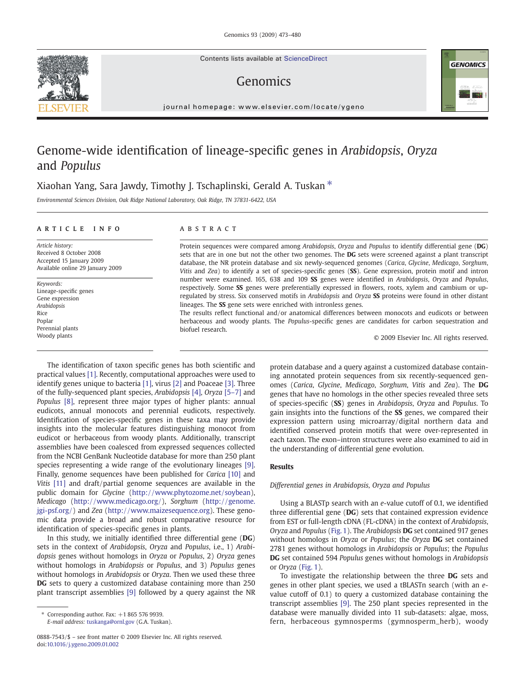Contents lists available at ScienceDirect

# Genomics



# Genome-wide identification of lineage-specific genes in Arabidopsis, Oryza and Populus

# Xiaohan Yang, Sara Jawdy, Timothy J. Tschaplinski, Gerald A. Tuskan  $*$

Environmental Sciences Division, Oak Ridge National Laboratory, Oak Ridge, TN 37831-6422, USA

# article info abstract

Article history: Received 8 October 2008 Accepted 15 January 2009 Available online 29 January 2009

Keywords: Lineage-specific genes Gene expression Arabidopsis Rice Poplar Perennial plants Woody plants

Protein sequences were compared among Arabidopsis, Oryza and Populus to identify differential gene (DG) sets that are in one but not the other two genomes. The DG sets were screened against a plant transcript database, the NR protein database and six newly-sequenced genomes (Carica, Glycine, Medicago, Sorghum, Vitis and Zea) to identify a set of species-specific genes (SS). Gene expression, protein motif and intron number were examined. 165, 638 and 109 SS genes were identified in Arabidopsis, Oryza and Populus, respectively. Some SS genes were preferentially expressed in flowers, roots, xylem and cambium or upregulated by stress. Six conserved motifs in Arabidopsis and Oryza SS proteins were found in other distant lineages. The SS gene sets were enriched with intronless genes.

The results reflect functional and/or anatomical differences between monocots and eudicots or between herbaceous and woody plants. The Populus-specific genes are candidates for carbon sequestration and biofuel research.

© 2009 Elsevier Inc. All rights reserved.

The identification of taxon specific genes has both scientific and practical values [\[1\]](#page-6-0). Recently, computational approaches were used to identify genes unique to bacteria [\[1\]](#page-6-0), virus [\[2\]](#page-6-0) and Poaceae [\[3\].](#page-6-0) Three of the fully-sequenced plant species, Arabidopsis [\[4\]](#page-6-0), Oryza [\[5](#page-6-0)–7] and Populus [\[8\]](#page-7-0), represent three major types of higher plants: annual eudicots, annual monocots and perennial eudicots, respectively. Identification of species-specific genes in these taxa may provide insights into the molecular features distinguishing monocot from eudicot or herbaceous from woody plants. Additionally, transcript assemblies have been coalesced from expressed sequences collected from the NCBI GenBank Nucleotide database for more than 250 plant species representing a wide range of the evolutionary lineages [\[9\].](#page-7-0) Finally, genome sequences have been published for Carica [\[10\]](#page-7-0) and Vitis [\[11\]](#page-7-0) and draft/partial genome sequences are available in the public domain for Glycine (<http://www.phytozome.net/soybean>), Medicago ([http://www.medicago.org/\)](http://www.medicago.org/), Sorghum [\(http://genome.](http://genome.jgi-psf.org/) [jgi-psf.org/\)](http://genome.jgi-psf.org/) and Zea [\(http://www.maizesequence.org](http://www.maizesequence.org)). These genomic data provide a broad and robust comparative resource for identification of species-specific genes in plants.

In this study, we initially identified three differential gene (DG) sets in the context of Arabidopsis, Oryza and Populus, i.e., 1) Arabidopsis genes without homologs in Oryza or Populus, 2) Oryza genes without homologs in Arabidopsis or Populus, and 3) Populus genes without homologs in Arabidopsis or Oryza. Then we used these three DG sets to query a customized database containing more than 250 plant transcript assemblies [\[9\]](#page-7-0) followed by a query against the NR

E-mail address: [tuskanga@ornl.gov](mailto:tuskanga@ornl.gov) (G.A. Tuskan).

protein database and a query against a customized database containing annotated protein sequences from six recently-sequenced genomes (Carica, Glycine, Medicago, Sorghum, Vitis and Zea). The DG genes that have no homologs in the other species revealed three sets of species-specific (SS) genes in Arabidopsis, Oryza and Populus. To gain insights into the functions of the SS genes, we compared their expression pattern using microarray/digital northern data and identified conserved protein motifs that were over-represented in each taxon. The exon–intron structures were also examined to aid in the understanding of differential gene evolution.

# Results

# Differential genes in Arabidopsis, Oryza and Populus

Using a BLASTp search with an e-value cutoff of 0.1, we identified three differential gene (DG) sets that contained expression evidence from EST or full-length cDNA (FL-cDNA) in the context of Arabidopsis, Oryza and Populus ([Fig. 1](#page-1-0)). The Arabidopsis DG set contained 917 genes without homologs in Oryza or Populus; the Oryza DG set contained 2781 genes without homologs in Arabidopsis or Populus; the Populus DG set contained 594 Populus genes without homologs in Arabidopsis or Oryza [\(Fig. 1\)](#page-1-0).

To investigate the relationship between the three DG sets and genes in other plant species, we used a tBLASTn search (with an evalue cutoff of 0.1) to query a customized database containing the transcript assemblies [\[9\].](#page-7-0) The 250 plant species represented in the database were manually divided into 11 sub-datasets: algae, moss, fern, herbaceous gymnosperms (gymnosperm\_herb), woody





Corresponding author. Fax:  $+18655769939$ .

<sup>0888-7543/\$</sup> – see front matter © 2009 Elsevier Inc. All rights reserved. doi:[10.1016/j.ygeno.2009.01.002](http://dx.doi.org/10.1016/j.ygeno.2009.01.002)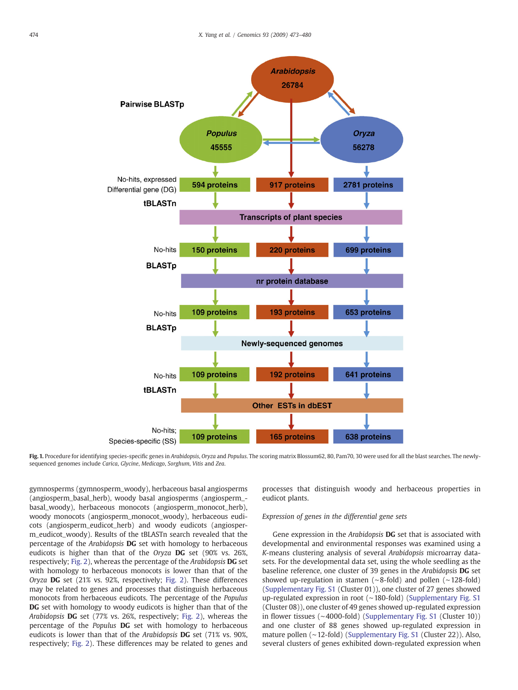<span id="page-1-0"></span>

Fig. 1. Procedure for identifying species-specific genes in Arabidopsis, Oryza and Populus. The scoring matrix Blossum62, 80, Pam70, 30 were used for all the blast searches. The newlysequenced genomes include Carica, Glycine, Medicago, Sorghum, Vitis and Zea.

gymnosperms (gymnosperm\_woody), herbaceous basal angiosperms (angiosperm\_basal\_herb), woody basal angiosperms (angiosperm\_ basal\_woody), herbaceous monocots (angiosperm\_monocot\_herb), woody monocots (angiosperm\_monocot\_woody), herbaceous eudicots (angiosperm\_eudicot\_herb) and woody eudicots (angiosperm\_eudicot\_woody). Results of the tBLASTn search revealed that the percentage of the Arabidopsis DG set with homology to herbaceous eudicots is higher than that of the Oryza DG set (90% vs. 26%, respectively; [Fig. 2\)](#page-2-0), whereas the percentage of the Arabidopsis DG set with homology to herbaceous monocots is lower than that of the Oryza DG set (21% vs. 92%, respectively; [Fig. 2](#page-2-0)). These differences may be related to genes and processes that distinguish herbaceous monocots from herbaceous eudicots. The percentage of the Populus DG set with homology to woody eudicots is higher than that of the Arabidopsis DG set (77% vs. 26%, respectively; [Fig. 2\)](#page-2-0), whereas the percentage of the Populus DG set with homology to herbaceous eudicots is lower than that of the Arabidopsis DG set (71% vs. 90%, respectively; [Fig. 2\)](#page-2-0). These differences may be related to genes and processes that distinguish woody and herbaceous properties in eudicot plants.

# Expression of genes in the differential gene sets

Gene expression in the Arabidopsis DG set that is associated with developmental and environmental responses was examined using a K-means clustering analysis of several Arabidopsis microarray datasets. For the developmental data set, using the whole seedling as the baseline reference, one cluster of 39 genes in the Arabidopsis DG set showed up-regulation in stamen (∼8-fold) and pollen (∼128-fold) (Supplementary Fig. S1 (Cluster 01)), one cluster of 27 genes showed up-regulated expression in root (∼180-fold) (Supplementary Fig. S1 (Cluster 08)), one cluster of 49 genes showed up-regulated expression in flower tissues (∼4000-fold) (Supplementary Fig. S1 (Cluster 10)) and one cluster of 88 genes showed up-regulated expression in mature pollen (∼12-fold) (Supplementary Fig. S1 (Cluster 22)). Also, several clusters of genes exhibited down-regulated expression when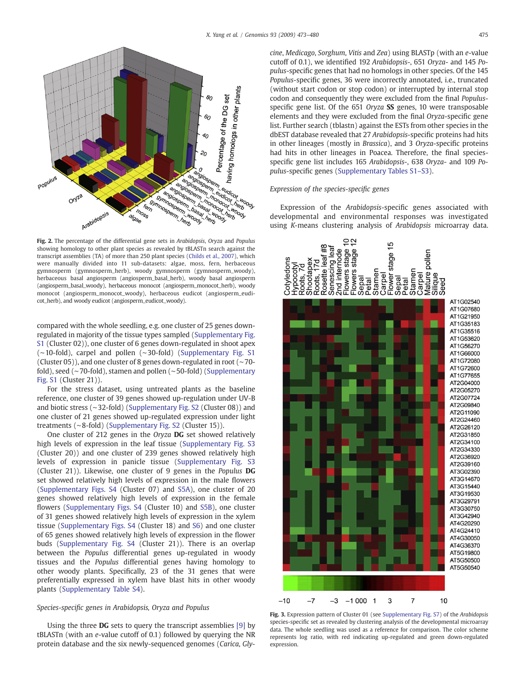<span id="page-2-0"></span>

Fig. 2. The percentage of the differential gene sets in Arabidopsis, Oryza and Populus showing homology to other plant species as revealed by tBLASTn search against the transcript assemblies (TA) of more than 250 plant species [\(Childs et al., 2007](#page-7-0)), which were manually divided into 11 sub-datasets: algae, moss, fern, herbaceous gymnosperm (gymnosperm\_herb), woody gymnosperm (gymnosperm\_woody), herbaceous basal angiosperm (angiosperm\_basal\_herb), woody basal angiosperm (angiosperm\_basal\_woody), herbaceous monocot (angiosperm\_monocot\_herb), woody monocot (angiosperm\_monocot\_woody), herbaceous eudicot (angiosperm\_eudicot\_herb), and woody eudicot (angiosperm\_eudicot\_woody).

compared with the whole seedling, e.g. one cluster of 25 genes downregulated in majority of the tissue types sampled (Supplementary Fig. S1 (Cluster 02)), one cluster of 6 genes down-regulated in shoot apex (∼10-fold), carpel and pollen (∼30-fold) (Supplementary Fig. S1 (Cluster 05)), and one cluster of 8 genes down-regulated in root (∼70 fold), seed (∼70-fold), stamen and pollen (∼50-fold) (Supplementary Fig. S1 (Cluster 21)).

For the stress dataset, using untreated plants as the baseline reference, one cluster of 39 genes showed up-regulation under UV-B and biotic stress (∼32-fold) (Supplementary Fig. S2 (Cluster 08)) and one cluster of 21 genes showed up-regulated expression under light treatments (∼8-fold) (Supplementary Fig. S2 (Cluster 15)).

One cluster of 212 genes in the Oryza DG set showed relatively high levels of expression in the leaf tissue (Supplementary Fig. S3 (Cluster 20)) and one cluster of 239 genes showed relatively high levels of expression in panicle tissue (Supplementary Fig. S3 (Cluster 21)). Likewise, one cluster of 9 genes in the Populus DG set showed relatively high levels of expression in the male flowers (Supplementary Figs. S4 (Cluster 07) and S5A), one cluster of 20 genes showed relatively high levels of expression in the female flowers (Supplementary Figs. S4 (Cluster 10) and S5B), one cluster of 31 genes showed relatively high levels of expression in the xylem tissue (Supplementary Figs. S4 (Cluster 18) and S6) and one cluster of 65 genes showed relatively high levels of expression in the flower buds (Supplementary Fig. S4 (Cluster 21)). There is an overlap between the Populus differential genes up-regulated in woody tissues and the Populus differential genes having homology to other woody plants. Specifically, 23 of the 31 genes that were preferentially expressed in xylem have blast hits in other woody plants (Supplementary Table S4).

# Species-specific genes in Arabidopsis, Oryza and Populus

Using the three DG sets to query the transcript assemblies [\[9\]](#page-7-0) by tBLASTn (with an e-value cutoff of 0.1) followed by querying the NR protein database and the six newly-sequenced genomes (Carica, Glycine, Medicago, Sorghum, Vitis and Zea) using BLASTp (with an e-value cutoff of 0.1), we identified 192 Arabidopsis-, 651 Oryza- and 145 Populus-specific genes that had no homologs in other species. Of the 145 Populus-specific genes, 36 were incorrectly annotated, i.e., truncated (without start codon or stop codon) or interrupted by internal stop codon and consequently they were excluded from the final Populusspecific gene list. Of the 651 Oryza SS genes, 10 were transposable elements and they were excluded from the final Oryza-specific gene list. Further search (tblastn) against the ESTs from other species in the dbEST database revealed that 27 Arabidopsis-specific proteins had hits in other lineages (mostly in Brassica), and 3 Oryza-specific proteins had hits in other lineages in Poacea. Therefore, the final speciesspecific gene list includes 165 Arabidopsis-, 638 Oryza- and 109 Populus-specific genes (Supplementary Tables S1–S3).

# Expression of the species-specific genes

Expression of the Arabidopsis-specific genes associated with developmental and environmental responses was investigated using K-means clustering analysis of Arabidopsis microarray data.



Fig. 3. Expression pattern of Cluster 01 (see Supplementary Fig. S7) of the Arabidopsis species-specific set as revealed by clustering analysis of the developmental microarray data. The whole seedling was used as a reference for comparison. The color scheme represents log ratio, with red indicating up-regulated and green down-regulated expression.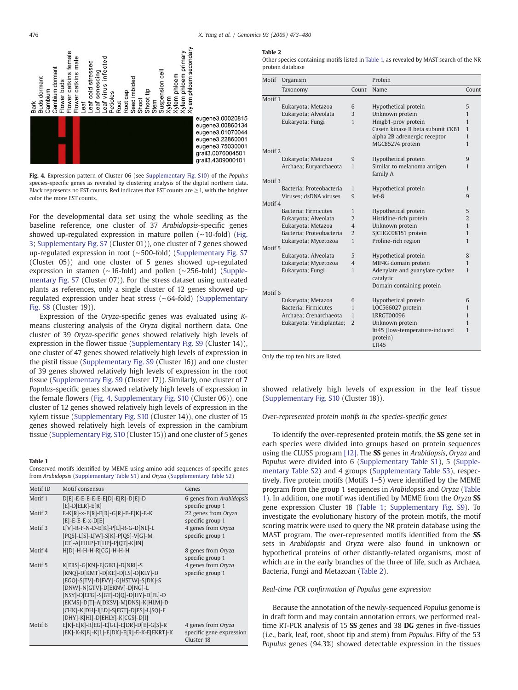<span id="page-3-0"></span>

Fig. 4. Expression pattern of Cluster 06 (see Supplementary Fig. S10) of the Populus species-specific genes as revealed by clustering analysis of the digital northern data. Black represents no EST counts. Red indicates that EST counts are  $\geq$  1, with the brighter color the more EST counts.

For the developmental data set using the whole seedling as the baseline reference, one cluster of 37 Arabidopsis-specific genes showed up-regulated expression in mature pollen (∼10-fold) [\(Fig.](#page-2-0) [3](#page-2-0); Supplementary Fig. S7 (Cluster 01)), one cluster of 7 genes showed up-regulated expression in root (∼500-fold) (Supplementary Fig. S7 (Cluster 05)) and one cluster of 5 genes showed up-regulated expression in stamen (∼16-fold) and pollen (∼256-fold) (Supplementary Fig. S7 (Cluster 07)). For the stress dataset using untreated plants as references, only a single cluster of 12 genes showed upregulated expression under heat stress (∼64-fold) (Supplementary Fig. S8 (Cluster 19)).

Expression of the Oryza-specific genes was evaluated using Kmeans clustering analysis of the Oryza digital northern data. One cluster of 39 Oryza-specific genes showed relatively high levels of expression in the flower tissue (Supplementary Fig. S9 (Cluster 14)), one cluster of 47 genes showed relatively high levels of expression in the pistil tissue (Supplementary Fig. S9 (Cluster 16)) and one cluster of 39 genes showed relatively high levels of expression in the root tissue (Supplementary Fig. S9 (Cluster 17)). Similarly, one cluster of 7 Populus-specific genes showed relatively high levels of expression in the female flowers (Fig. 4, Supplementary Fig. S10 (Cluster 06)), one cluster of 12 genes showed relatively high levels of expression in the xylem tissue (Supplementary Fig. S10 (Cluster 14)), one cluster of 15 genes showed relatively high levels of expression in the cambium tissue (Supplementary Fig. S10 (Cluster 15)) and one cluster of 5 genes

### Table 1

Conserved motifs identified by MEME using amino acid sequences of specific genes from Arabidopsis (Supplementary Table S1) and Oryza (Supplementary Table S2)

| Motif ID | Motif consensus                           | Genes                                  |
|----------|-------------------------------------------|----------------------------------------|
| Motif 1  | $D[E]-E-E-E-E-E[E]-E[R]-D[E]-D$           | 6 genes from Arabidopsis               |
|          | $[E]-D[ELR]-E[R]$                         | specific group 1                       |
| Motif 2  | $E-K[R]-x-E[R]-E[R]-G[R]-E-E[K]-E-K$      | 22 genes from Oryza                    |
|          | $[E]$ -E-E-E-x-D $[E]$                    | specific group 1                       |
| Motif 3  | L[V]-R-F-N-D-E[K]-P[L]-R-G-D[NL]-L        | 4 genes from Oryza                     |
|          | [PQS]-L[S]-L[W]-S[K]-P[QS]-V[G]-M         | specific group 1                       |
|          | [ET]-A[FHLP]-T[HP]-P[QT]-K[IN]            |                                        |
| Motif 4  | H[D]-H-H-H-R[CG]-H-H-H                    | 8 genes from Oryza                     |
|          |                                           | specific group 1                       |
| Motif 5  | K[ERS]-G[KN]-E[GIKL]-D[NRI]-S             | 4 genes from Oryza                     |
|          | [KNQ]-D[KMT]-D[KE]-D[LS]-D[KLY]-D         | specific group 1                       |
|          | [EGQ]-S[TV]-D[FVY]-G[HSTW]-S[DK]-S        |                                        |
|          | [DNW]-N[GTV]-D[EKNV]-D[NG]-L              |                                        |
|          | [NSY]-D[EFG]-S[GT]-D[Q]-D[HY]-D[FL]-D     |                                        |
|          | [EKMS]-D[T]-A[DKSV]-M[DNS]-K[HLM]-D       |                                        |
|          | [CHK]-K[DH]-I[LD]-S[FGT]-D[ES]-L[SQ]-F    |                                        |
|          | [DHY]-K[HI]-D[EHLY]-K[CGS]-D[I]           |                                        |
| Motif 6  | $E[K]-E[R]-R[EG]-E[GL]-E[DR]-D[E]-G[S]-R$ | 4 genes from Oryza                     |
|          | [EK]-K-K[E]-K[L]-E[DK]-E[R]-E-K-E[EKRT]-K | specific gene expression<br>Cluster 18 |

#### Table 2

Other species containing motifs listed in Table 1, as revealed by MAST search of the NR protein database

| Motif              | Organism                  |                          | Protein                                |                |  |  |  |
|--------------------|---------------------------|--------------------------|----------------------------------------|----------------|--|--|--|
|                    | Taxonomy                  | Count                    | Name                                   | Count          |  |  |  |
| Motif 1            |                           |                          |                                        |                |  |  |  |
|                    | Eukaryota; Metazoa        | 6                        | Hypothetical protein                   | 5              |  |  |  |
|                    | Eukaryota; Alveolata      | 3                        | Unknown protein                        | $\mathbf{1}$   |  |  |  |
|                    | Eukaryota; Fungi          | $\mathbf{1}$             | Hmgb1-prov protein                     | 1              |  |  |  |
|                    |                           |                          | Casein kinase II beta subunit CKB1     | 1              |  |  |  |
|                    |                           |                          | alpha 2B adrenergic receptor           | $\mathbf{1}$   |  |  |  |
|                    |                           |                          | MGC85274 protein                       | 1              |  |  |  |
| Motif <sub>2</sub> |                           |                          |                                        |                |  |  |  |
|                    | Eukaryota; Metazoa        | 9                        | Hypothetical protein                   | 9              |  |  |  |
|                    | Archaea; Euryarchaeota    | $\mathbf{1}$             | Similar to melanoma antigen            | 1              |  |  |  |
|                    |                           |                          | family A                               |                |  |  |  |
| Motif 3            |                           |                          |                                        |                |  |  |  |
|                    | Bacteria; Proteobacteria  | 1                        | Hypothetical protein                   | 1              |  |  |  |
|                    | Viruses: dsDNA viruses    | 9                        | $left-8$                               | 9              |  |  |  |
| Motif 4            |                           |                          |                                        |                |  |  |  |
|                    | Bacteria: Firmicutes      | 1                        | Hypothetical protein                   | 5              |  |  |  |
|                    | Eukaryota; Alveolata      | $\overline{2}$           | Histidine-rich protein                 | $\overline{2}$ |  |  |  |
|                    | Eukaryota; Metazoa        | $\overline{\mathcal{L}}$ | Unknown protein                        | $\mathbf{1}$   |  |  |  |
|                    | Bacteria: Proteobacteria  | $\overline{2}$           | SJCHGC08151 protein                    | $\mathbf{1}$   |  |  |  |
|                    | Eukaryota; Mycetozoa      | $\mathbf{1}$             | Proline-rich region                    | 1              |  |  |  |
| Motif 5            |                           |                          |                                        |                |  |  |  |
|                    | Eukaryota; Alveolata      | 5                        | Hypothetical protein                   | 8              |  |  |  |
|                    | Eukaryota; Mycetozoa      | $\overline{4}$           | MIF4G domain protein                   | $\mathbf{1}$   |  |  |  |
|                    | Eukaryota; Fungi          | $\mathbf{1}$             | Adenylate and guanylate cyclase        | $\mathbf{1}$   |  |  |  |
|                    |                           |                          | catalytic                              |                |  |  |  |
|                    |                           |                          | Domain containing protein              |                |  |  |  |
| Motif <sub>6</sub> |                           |                          |                                        |                |  |  |  |
|                    | Eukaryota; Metazoa        | 6                        | Hypothetical protein                   | 6              |  |  |  |
|                    | Bacteria; Firmicutes      | 1                        | LOC566027 protein<br><b>LRRGT00096</b> | $\mathbf{1}$   |  |  |  |
|                    | Archaea; Crenarchaeota    | $\mathbf{1}$             |                                        | 1              |  |  |  |
|                    | Eukaryota; Viridiplantae; | $\overline{2}$           | Unknown protein                        | $\mathbf{1}$   |  |  |  |
|                    |                           |                          | lti45 (low-temperature-induced         | 1              |  |  |  |
|                    |                           |                          | protein)                               |                |  |  |  |
|                    |                           |                          | LTI45                                  |                |  |  |  |

Only the top ten hits are listed.

showed relatively high levels of expression in the leaf tissue (Supplementary Fig. S10 (Cluster 18)).

# Over-represented protein motifs in the species-specific genes

To identify the over-represented protein motifs, the SS gene set in each species were divided into groups based on protein sequences using the CLUSS program [\[12\]](#page-7-0). The SS genes in Arabidopsis, Oryza and Populus were divided into 6 (Supplementary Table S1), 5 (Supplementary Table S2) and 4 groups (Supplementary Table S3), respectively. Five protein motifs (Motifs 1–5) were identified by the MEME program from the group 1 sequences in Arabidopsis and Oryza (Table 1). In addition, one motif was identified by MEME from the Oryza SS gene expression Cluster 18 (Table 1; Supplementary Fig. S9). To investigate the evolutionary history of the protein motifs, the motif scoring matrix were used to query the NR protein database using the MAST program. The over-represented motifs identified from the SS sets in Arabidopsis and Oryza were also found in unknown or hypothetical proteins of other distantly-related organisms, most of which are in the early branches of the three of life, such as Archaea, Bacteria, Fungi and Metazoan (Table 2).

# Real-time PCR confirmation of Populus gene expression

Because the annotation of the newly-sequenced Populus genome is in draft form and may contain annotation errors, we performed realtime RT-PCR analysis of 15 SS genes and 38 DG genes in five-tissues (i.e., bark, leaf, root, shoot tip and stem) from Populus. Fifty of the 53 Populus genes (94.3%) showed detectable expression in the tissues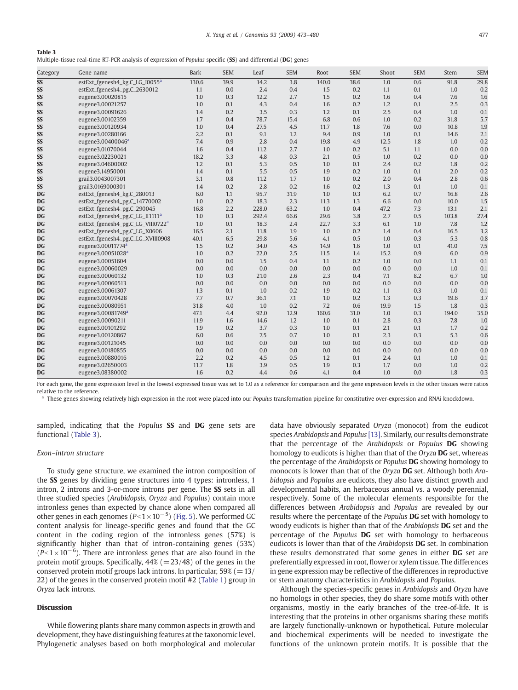**Table 3**<br>Multiple-tissue real-time RT-PCR analysis of expression of *Populus s*pecific (**SS**) and differential (**DG**) genes

| Category  | Gene name                                     | <b>Bark</b> | <b>SEM</b> | Leaf  | <b>SEM</b> | Root  | <b>SEM</b> | Shoot | <b>SEM</b> | Stem  | <b>SEM</b> |
|-----------|-----------------------------------------------|-------------|------------|-------|------------|-------|------------|-------|------------|-------|------------|
| SS        | estExt_fgenesh4_kg,C_LG_I0055 <sup>a</sup>    | 130.6       | 39.9       | 14.2  | 3.8        | 140.0 | 38.6       | 1.0   | 0.6        | 91.8  | 29.8       |
| SS        | estExt_fgenesh4_pg.C_2630012                  | 1.1         | 0.0        | 2.4   | 0.4        | 1.5   | 0.2        | 1.1   | 0.1        | 1.0   | 0.2        |
| SS        | eugene3.00020815                              | 1.0         | 0.3        | 12.2  | 2.7        | 1.5   | 0.2        | 1.6   | 0.4        | 7.6   | 1.6        |
| SS        | eugene3.00021257                              | 1.0         | 0.1        | 4.3   | 0.4        | 1.6   | 0.2        | 1.2   | 0.1        | 2.5   | 0.3        |
| SS        | eugene3.00091626                              | 1.4         | 0.2        | 3.5   | 0.3        | 1.2   | 0.1        | 2.5   | 0.4        | 1.0   | 0.1        |
| SS        | eugene3.00102359                              | 1.7         | 0.4        | 78.7  | 15.4       | 6.8   | 0.6        | 1.0   | 0.2        | 31.8  | 5.7        |
| SS        | eugene3.00120934                              | 1.0         | 0.4        | 27.5  | 4.5        | 11.7  | 1.8        | 7.6   | 0.0        | 10.8  | 1.9        |
| SS        | eugene3.00280166                              | 2.2         | 0.1        | 9.1   | 1.2        | 9.4   | 0.9        | 1.0   | 0.1        | 14.6  | 2.1        |
| SS        | eugene3.00400046 <sup>a</sup>                 | 7.4         | 0.9        | 2.8   | 0.4        | 19.8  | 4.9        | 12.5  | 1.8        | 1.0   | 0.2        |
| SS        | eugene3.01070044                              | 1.6         | 0.4        | 11.2  | 2.7        | 1.0   | 0.2        | 5.1   | 1.1        | 0.0   | 0.0        |
| SS        | eugene3.02230021                              | 18.2        | 3.3        | 4.8   | 0.3        | 2.1   | 0.5        | 1.0   | 0.2        | 0.0   | 0.0        |
| SS        | eugene3.04600002                              | 1.2         | 0.1        | 5.3   | 0.5        | 1.0   | 0.1        | 2.4   | 0.2        | 1.8   | 0.2        |
| SS        | eugene3.14950001                              | 1.4         | 0.1        | 5.5   | 0.5        | 1.9   | 0.2        | 1.0   | 0.1        | 2.0   | 0.2        |
| SS        | grail3.0043007301                             | 3.1         | 0.8        | 11.2  | 1.7        | 1.0   | 0.2        | 2.0   | 0.4        | 2.8   | 0.6        |
| SS        | grail3.0169000301                             | 1.4         | 0.2        | 2.8   | 0.2        | 1.6   | 0.2        | 1.3   | 0.1        | 1.0   | 0.1        |
| <b>DG</b> | estExt_fgenesh4_kg.C_280013                   | 6.0         | 1.1        | 95.7  | 31.9       | 1.0   | 0.3        | 6.2   | 0.7        | 16.8  | 2.6        |
| <b>DG</b> | estExt_fgenesh4_pg.C_14770002                 | 1.0         | 0.2        | 18.3  | 2.3        | 11.3  | 1.3        | 6.6   | 0.0        | 10.0  | 1.5        |
| <b>DG</b> | estExt_fgenesh4_pg.C_290045                   | 16.8        | 2.2        | 228.0 | 63.2       | 1.0   | 0.4        | 47.2  | 7.3        | 13.1  | 2.1        |
| <b>DG</b> | estExt_fgenesh4_pg.C_LG_II1111 <sup>a</sup>   | 1.0         | 0.3        | 292.4 | 66.6       | 29.6  | 3.8        | 2.7   | 0.5        | 103.8 | 27.4       |
| <b>DG</b> | estExt_fgenesh4_pg.C_LG_VIII0722 <sup>a</sup> | 1.0         | 0.1        | 18.3  | 2.4        | 22.7  | 3.3        | 6.1   | 1.0        | 7.8   | 1.2        |
| <b>DG</b> | estExt_fgenesh4_pg.C_LG_X0606                 | 16.5        | 2.1        | 11.8  | 1.9        | 1.0   | 0.2        | 1.4   | 0.4        | 16.5  | 3.2        |
| <b>DG</b> | estExt_fgenesh4_pg.C_LG_XVIII0908             | 40.1        | 6.5        | 29.8  | 5.6        | 4.1   | 0.5        | 1.0   | 0.3        | 5.3   | 0.8        |
| <b>DG</b> | eugene3.00011774 <sup>a</sup>                 | 1.5         | 0.2        | 34.0  | 4.5        | 14.9  | 1.6        | 1.0   | 0.1        | 41.0  | 7.5        |
| <b>DG</b> | eugene3.00051028 <sup>a</sup>                 | 1.0         | 0.2        | 22.0  | 2.5        | 11.5  | 1.4        | 15.2  | 0.9        | 6.0   | 0.9        |
| <b>DG</b> | eugene3.00051604                              | 0.0         | 0.0        | 1.5   | 0.4        | 1.1   | 0.2        | 1.0   | 0.0        | 1.1   | 0.1        |
| <b>DG</b> | eugene3.00060029                              | 0.0         | 0.0        | 0.0   | 0.0        | 0.0   | 0.0        | 0.0   | 0.0        | 1.0   | 0.1        |
| <b>DG</b> | eugene3.00060132                              | 1.0         | 0.3        | 21.0  | 2.6        | 2.3   | 0.4        | 7.1   | 8.2        | 6.7   | 1.0        |
| <b>DG</b> | eugene3.00060513                              | 0.0         | 0.0        | 0.0   | 0.0        | 0.0   | 0.0        | 0.0   | 0.0        | 0.0   | 0.0        |
| <b>DG</b> | eugene3.00061307                              | 1.3         | 0.1        | 1.0   | 0.2        | 1.9   | 0.2        | 1.1   | 0.3        | 1.0   | 0.1        |
| <b>DG</b> | eugene3.00070428                              | 7.7         | 0.7        | 36.1  | 7.1        | 1.0   | 0.2        | 1.3   | 0.3        | 19.6  | 3.7        |
| <b>DG</b> | eugene3.00080951                              | 31.8        | 4.0        | 1.0   | 0.2        | 7.2   | 0.6        | 19.9  | 1.5        | 1.8   | 0.3        |
| <b>DG</b> | eugene3.00081749 <sup>a</sup>                 | 47.1        | 4.4        | 92.0  | 12.9       | 160.6 | 31.0       | 1.0   | 0.3        | 194.0 | 35.0       |
| <b>DG</b> | eugene3.00090211                              | 11.9        | 1.6        | 14.6  | 1.2        | 1.0   | 0.1        | 2.8   | 0.3        | 7.8   | 1.0        |
| <b>DG</b> | eugene3.00101292                              | 1.9         | 0.2        | 3.7   | 0.3        | 1.0   | 0.1        | 2.1   | 0.1        | 1.7   | 0.2        |
| <b>DG</b> | eugene3.00120867                              | 6.0         | 0.6        | 7.5   | 0.7        | 1.0   | 0.1        | 2.3   | 0.3        | 5.3   | 0.6        |
| <b>DG</b> | eugene3.00121045                              | 0.0         | 0.0        | 0.0   | 0.0        | 0.0   | 0.0        | 0.0   | 0.0        | 0.0   | 0.0        |
| <b>DG</b> | eugene3.00180855                              | 0.0         | 0.0        | 0.0   | 0.0        | 0.0   | 0.0        | 0.0   | 0.0        | 0.0   | 0.0        |
| <b>DG</b> | eugene3.00880016                              | 2.2         | 0.2        | 4.5   | 0.5        | 1.2   | 0.1        | 2.4   | 0.1        | 1.0   | 0.1        |
| <b>DG</b> | eugene3.02650003                              | 11.7        | 1.8        | 3.9   | 0.5        | 1.9   | 0.3        | 1.7   | 0.0        | 1.0   | 0.2        |
| <b>DG</b> | eugene3.08380002                              | 1.6         | 0.2        | 4.4   | 0.6        | 4.1   | 0.4        | 1.0   | 0.0        | 1.8   | 0.3        |

For each gene, the gene expression level in the lowest expressed tissue was set to 1.0 as a reference for comparison and the gene expression levels in the other tissues were ratios relative to the reference.

These genes showing relatively high expression in the root were placed into our Populus transformation pipeline for constitutive over-expression and RNAi knockdown.

sampled, indicating that the *Populus* SS and DG gene sets are functional (Table 3).

# Exon–intron structure

To study gene structure, we examined the intron composition of the SS genes by dividing gene structures into 4 types: intronless, 1 intron, 2 introns and 3-or-more introns per gene. The SS sets in all three studied species (Arabidopsis, Oryza and Populus) contain more intronless genes than expected by chance alone when compared all other genes in each genomes ( $P$ <1 × 10 $^{-5}$ ) ([Fig. 5\)](#page-5-0). We performed GC content analysis for lineage-specific genes and found that the GC content in the coding region of the intronless genes (57%) is significantly higher than that of intron-containing genes (53%)  $(P<1\times 10^{-6})$ . There are intronless genes that are also found in the protein motif groups. Specifically,  $44\%$  (=23/48) of the genes in the conserved protein motif groups lack introns. In particular,  $59\%$  (=13/ 22) of the genes in the conserved protein motif #2 ([Table 1](#page-3-0)) group in Oryza lack introns.

# Discussion

While flowering plants share many common aspects in growth and development, they have distinguishing features at the taxonomic level. Phylogenetic analyses based on both morphological and molecular data have obviously separated Oryza (monocot) from the eudicot species Arabidopsis and Populus [\[13\].](#page-7-0) Similarly, our results demonstrate that the percentage of the Arabidopsis or Populus DG showing homology to eudicots is higher than that of the Oryza DG set, whereas the percentage of the Arabidopsis or Populus DG showing homology to monocots is lower than that of the Oryza DG set. Although both Arabidopsis and Populus are eudicots, they also have distinct growth and developmental habits, an herbaceous annual vs. a woody perennial, respectively. Some of the molecular elements responsible for the differences between Arabidopsis and Populus are revealed by our results where the percentage of the Populus DG set with homology to woody eudicots is higher than that of the Arabidopsis **DG** set and the percentage of the Populus DG set with homology to herbaceous eudicots is lower than that of the Arabidopsis DG set. In combination these results demonstrated that some genes in either DG set are preferentially expressed in root, flower or xylem tissue. The differences in gene expression may be reflective of the differences in reproductive or stem anatomy characteristics in Arabidopsis and Populus.

Although the species-specific genes in Arabidopsis and Oryza have no homologs in other species, they do share some motifs with other organisms, mostly in the early branches of the tree-of-life. It is interesting that the proteins in other organisms sharing these motifs are largely functionally-unknown or hypothetical. Future molecular and biochemical experiments will be needed to investigate the functions of the unknown protein motifs. It is possible that the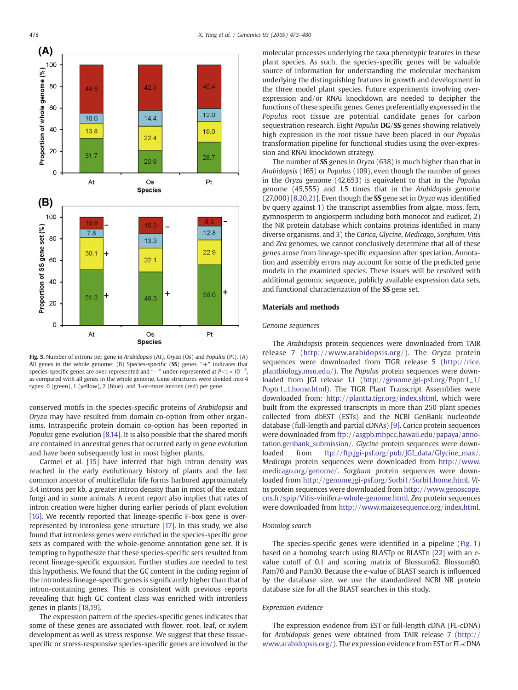

Fig. 5. Number of introns per gene in Arabidopsis (At), Oryza (Os) and Populus (Pt). (A) All genes in the whole genome; (B) Species-specific (SS) genes. "+" indicates that species-specific genes are over-represented and "—" under-represented at  $P<1 \times 10^{-5}$ , as compared with all genes in the whole genome. Gene structures were divided into 4 types: 0 (green), 1 (yellow), 2 (blue), and 3-or-more introns (red) per gene.

conserved motifs in the species-specific proteins of Arabidopsis and Oryza may have resulted from domain co-option from other organisms. Intraspecific protein domain co-option has been reported in Populus gene evolution [\[8,14\].](#page-7-0) It is also possible that the shared motifs are contained in ancestral genes that occurred early in gene evolution and have been subsequently lost in most higher plants.

Carmel et al. [\[15\]](#page-7-0) have inferred that high intron density was reached in the early evolutionary history of plants and the last common ancestor of multicellular life forms harbored approximately 3.4 introns per kb, a greater intron density than in most of the extant fungi and in some animals. A recent report also implies that rates of intron creation were higher during earlier periods of plant evolution [\[16\].](#page-7-0) We recently reported that lineage-specific F-box gene is overrepresented by intronless gene structure [\[17\].](#page-7-0) In this study, we also found that intronless genes were enriched in the species-specific gene sets as compared with the whole-genome annotation gene set. It is tempting to hypothesize that these species-specific sets resulted from recent lineage-specific expansion. Further studies are needed to test this hypothesis. We found that the GC content in the coding region of the intronless lineage-specific genes is significantly higher than that of intron-containing genes. This is consistent with previous reports revealing that high GC content class was enriched with intronless genes in plants [\[18,19\].](#page-7-0)

The expression pattern of the species-specific genes indicates that some of these genes are associated with flower, root, leaf, or xylem development as well as stress response. We suggest that these tissuespecific or stress-responsive species-specific genes are involved in the

molecular processes underlying the taxa phenotypic features in these plant species. As such, the species-specific genes will be valuable source of information for understanding the molecular mechanism underlying the distinguishing features in growth and development in the three model plant species. Future experiments involving overexpression and/or RNAi knockdown are needed to decipher the functions of these specific genes. Genes preferentially expressed in the Populus root tissue are potential candidate genes for carbon sequestration research. Eight Populus DG/SS genes showing relatively high expression in the root tissue have been placed in our Populus transformation pipeline for functional studies using the over-expression and RNAi knockdown strategy.

The number of SS genes in Oryza (638) is much higher than that in Arabidopsis (165) or Populus (109), even though the number of genes in the Oryza genome (42,653) is equivalent to that in the Populus genome (45,555) and 1.5 times that in the Arabidopsis genome (27,000) [\[8,20,21\]](#page-7-0). Even though the SS gene set in Oryza was identified by query against 1) the transcript assemblies from algae, moss, fern, gymnosperm to angiosperm including both monocot and eudicot, 2) the NR protein database which contains proteins identified in many diverse organisms, and 3) the Carica, Glycine, Medicago, Sorghum, Vitis and Zea genomes, we cannot conclusively determine that all of these genes arose from lineage-specific expansion after speciation. Annotation and assembly errors may account for some of the predicted gene models in the examined species. These issues will be resolved with additional genomic sequence, publicly available expression data sets, and functional characterization of the SS gene set.

# Materials and methods

# Genome sequences

The Arabidopsis protein sequences were downloaded from TAIR release 7 ([http://www.arabidopsis.org/\)](http://www.arabidopsis.org/). The Oryza protein sequences were downloaded from TIGR release 5 [\(http://rice.](http://rice.plantbiology.msu.edu/) [plantbiology.msu.edu/\)](http://rice.plantbiology.msu.edu/). The Populus protein sequences were downloaded from JGI release 1.1 ([http://genome.jgi-psf.org/Poptr1\\_1/](http://genome.jgi-psf.org/Poptr1_1/Poptr1_1.home.html) [Poptr1\\_1.home.html](http://genome.jgi-psf.org/Poptr1_1/Poptr1_1.home.html)). The TIGR Plant Transcript Assemblies were downloaded from: <http://plantta.tigr.org/index.shtml>, which were built from the expressed transcripts in more than 250 plant species collected from dbEST (ESTs) and the NCBI GenBank nucleotide database (full-length and partial cDNAs) [\[9\].](#page-7-0) Carica protein sequences were downloaded from [ftp://asgpb.mhpcc.hawaii.edu/papaya/anno](ftp://asgpb.mhpcc.hawaii.edu/papaya/annotation.genbank_submission/)[tation.genbank\\_submission/.](ftp://asgpb.mhpcc.hawaii.edu/papaya/annotation.genbank_submission/) Glycine protein sequences were downloaded from [ftp://ftp.jgi-psf.org/pub/JGI\\_data/Glycine\\_max/.](ftp://ftp.jgi-psf.org/pub/JGI_data/Glycine_max/) Medicago protein sequences were downloaded from [http://www.](http://www.medicago.org/genome/) [medicago.org/genome/](http://www.medicago.org/genome/). Sorghum protein sequences were downloaded from <http://genome.jgi-psf.org/Sorbi1/Sorbi1.home.html>. Vitis protein sequences were downloaded from [http://www.genoscope.](http://www.genoscope.cns.fr/spip/Vitis-vinifera-whole-genome.html) [cns.fr/spip/Vitis-vinifera-whole-genome.html](http://www.genoscope.cns.fr/spip/Vitis-vinifera-whole-genome.html). Zea protein sequences were downloaded from <http://www.maizesequence.org/index.html>.

## Homolog search

The species-specific genes were identified in a pipeline [\(Fig. 1](#page-1-0)) based on a homolog search using BLASTp or BLASTn [\[22\]](#page-7-0) with an evalue cutoff of 0.1 and scoring matrix of Blossum62, Blossum80, Pam70 and Pam30. Because the e-value of BLAST search is influenced by the database size, we use the standardized NCBI NR protein database size for all the BLAST searches in this study.

# Expression evidence

The expression evidence from EST or full-length cDNA (FL-cDNA) for Arabidopsis genes were obtained from TAIR release 7 [\(http://](http://www.arabidopsis.org/) [www.arabidopsis.org/\)](http://www.arabidopsis.org/). The expression evidence from EST or FL-cDNA

<span id="page-5-0"></span>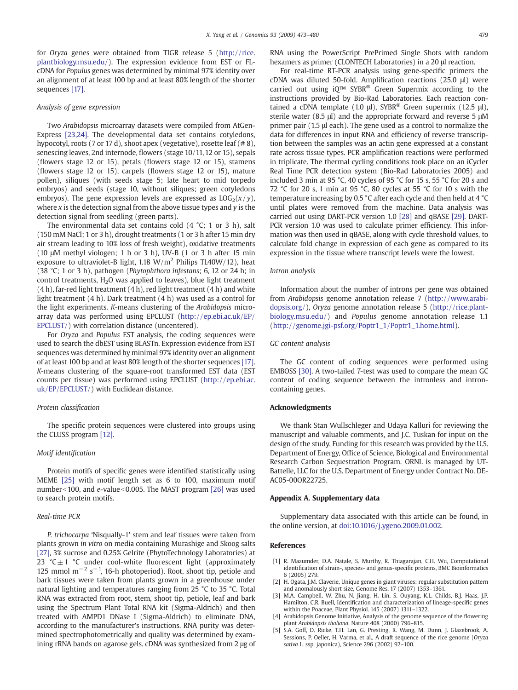<span id="page-6-0"></span>for Oryza genes were obtained from TIGR release 5 ([http://rice.](http://rice.plantbiology.msu.edu/) [plantbiology.msu.edu/\)](http://rice.plantbiology.msu.edu/). The expression evidence from EST or FLcDNA for Populus genes was determined by minimal 97% identity over an alignment of at least 100 bp and at least 80% length of the shorter sequences [\[17\].](#page-7-0)

# Analysis of gene expression

Two Arabidopsis microarray datasets were compiled from AtGen-Express [\[23,24\]](#page-7-0). The developmental data set contains cotyledons, hypocotyl, roots (7 or 17 d), shoot apex (vegetative), rosette leaf (# 8), senescing leaves, 2nd internode, flowers (stage 10/11, 12 or 15), sepals (flowers stage 12 or 15), petals (flowers stage 12 or 15), stamens (flowers stage 12 or 15), carpels (flowers stage 12 or 15), mature pollen), siliques (with seeds stage 5; late heart to mid torpedo embryos) and seeds (stage 10, without siliques; green cotyledons embryos). The gene expression levels are expressed as  $LOG_2(x/y)$ , where  $x$  is the detection signal from the above tissue types and  $y$  is the detection signal from seedling (green parts).

The environmental data set contains cold (4 °C; 1 or 3 h), salt (150 mM NaCl; 1 or 3 h), drought treatments (1 or 3 h after 15 min dry air stream leading to 10% loss of fresh weight), oxidative treatments (10 μM methyl viologen; 1 h or 3 h), UV-B (1 or 3 h after 15 min exposure to ultraviolet-B light, 1.18  $W/m^2$  Philips TL40W/12), heat (38 °C; 1 or 3 h), pathogen (Phytophthora infestans; 6, 12 or 24 h; in control treatments,  $H<sub>2</sub>O$  was applied to leaves), blue light treatment  $(4 h)$ , far-red light treatment  $(4 h)$ , red light treatment  $(4 h)$  and white light treatment (4 h). Dark treatment (4 h) was used as a control for the light experiments. K-means clustering of the Arabidopsis microarray data was performed using EPCLUST ([http://ep.ebi.ac.uk/EP/](http://ep.ebi.ac.uk/EP/EPCLUST/) [EPCLUST/](http://ep.ebi.ac.uk/EP/EPCLUST/)) with correlation distance (uncentered).

For Oryza and Populus EST analysis, the coding sequences were used to search the dbEST using BLASTn. Expression evidence from EST sequences was determined by minimal 97% identity over an alignment of at least 100 bp and at least 80% length of the shorter sequences [\[17\].](#page-7-0) K-means clustering of the square-root transformed EST data (EST counts per tissue) was performed using EPCLUST [\(http://ep.ebi.ac.](http://ep.ebi.ac.uk/EP/EPCLUST/) [uk/EP/EPCLUST/\)](http://ep.ebi.ac.uk/EP/EPCLUST/) with Euclidean distance.

# Protein classification

The specific protein sequences were clustered into groups using the CLUSS program [\[12\].](#page-7-0)

# Motif identification

Protein motifs of specific genes were identified statistically using MEME [\[25\]](#page-7-0) with motif length set as 6 to 100, maximum motif number<100, and  $e$ -value<0.005. The MAST program [\[26\]](#page-7-0) was used to search protein motifs.

# Real-time PCR

P. trichocarpa 'Nisqually-1' stem and leaf tissues were taken from plants grown in vitro on media containing Murashige and Skoog salts [\[27\]](#page-7-0), 3% sucrose and 0.25% Gelrite (PhytoTechnology Laboratories) at 23 °C $\pm$ 1 °C under cool-white fluorescent light (approximately 125 mmol  $m^{-2}$  s<sup>-1</sup>, 16-h photoperiod). Root, shoot tip, petiole and bark tissues were taken from plants grown in a greenhouse under natural lighting and temperatures ranging from 25 °C to 35 °C. Total RNA was extracted from root, stem, shoot tip, petiole, leaf and bark using the Spectrum Plant Total RNA kit (Sigma-Aldrich) and then treated with AMPD1 DNase I (Sigma-Aldrich) to eliminate DNA, according to the manufacturer's instructions. RNA purity was determined spectrophotometrically and quality was determined by examining rRNA bands on agarose gels. cDNA was synthesized from 2 μg of RNA using the PowerScript PrePrimed Single Shots with random hexamers as primer (CLONTECH Laboratories) in a 20 μl reaction.

For real-time RT-PCR analysis using gene-specific primers the cDNA was diluted 50-fold. Amplification reactions (25.0 μl) were carried out using iQ™ SYBR® Green Supermix according to the instructions provided by Bio-Rad Laboratories. Each reaction contained a cDNA template (1.0  $\mu$ ), SYBR<sup>®</sup> Green supermix (12.5  $\mu$ l), sterile water (8.5 μl) and the appropriate forward and reverse 5 μM primer pair (1.5 μl each). The gene used as a control to normalize the data for differences in input RNA and efficiency of reverse transcription between the samples was an actin gene expressed at a constant rate across tissue types. PCR amplification reactions were performed in triplicate. The thermal cycling conditions took place on an iCycler Real Time PCR detection system (Bio-Rad Laboratories 2005) and included 3 min at 95 °C, 40 cycles of 95 °C for 15 s, 55 °C for 20 s and 72 °C for 20 s, 1 min at 95 °C, 80 cycles at 55 °C for 10 s with the temperature increasing by 0.5 °C after each cycle and then held at 4 °C until plates were removed from the machine. Data analysis was carried out using DART-PCR version 1.0 [\[28\]](#page-7-0) and qBASE [\[29\]](#page-7-0). DART-PCR version 1.0 was used to calculate primer efficiency. This information was then used in qBASE, along with cycle threshold values, to calculate fold change in expression of each gene as compared to its expression in the tissue where transcript levels were the lowest.

# Intron analysis

Information about the number of introns per gene was obtained from Arabidopsis genome annotation release 7 [\(http://www.arabi](http://www.arabidopsis.org/)[dopsis.org/\)](http://www.arabidopsis.org/), Oryza genome annotation release 5 ([http://rice.plant](http://rice.plantbiology.msu.edu/)[biology.msu.edu/](http://rice.plantbiology.msu.edu/)) and Populus genome annotation release 1.1 [\(http://genome.jgi-psf.org/Poptr1\\_1/Poptr1\\_1.home.html\)](http://genome.jgi-psf.org/Poptr1_1/Poptr1_1.home.html).

# GC content analysis

The GC content of coding sequences were performed using EMBOSS [\[30\]](#page-7-0). A two-tailed T-test was used to compare the mean GC content of coding sequence between the intronless and introncontaining genes.

# Acknowledgments

We thank Stan Wullschleger and Udaya Kalluri for reviewing the manuscript and valuable comments, and J.C. Tuskan for input on the design of the study. Funding for this research was provided by the U.S. Department of Energy, Office of Science, Biological and Environmental Research Carbon Sequestration Program. ORNL is managed by UT-Battelle, LLC for the U.S. Department of Energy under Contract No. DE-AC05-00OR22725.

# Appendix A. Supplementary data

Supplementary data associated with this article can be found, in the online version, at [doi:10.1016/j.ygeno.2009.01.002](http://dx.doi.org/doi:10.1016/j.ygeno.2009.01.002).

# References

- [1] R. Mazumder, D.A. Natale, S. Murthy, R. Thiagarajan, C.H. Wu, Computational identification of strain-, species- and genus-specific proteins, BMC Bioinformatics 6 (2005) 279.
- [2] H. Ogata, J.M. Claverie, Unique genes in giant viruses: regular substitution pattern and anomalously short size, Genome Res. 17 (2007) 1353–1361.
- [3] M.A. Campbell, W. Zhu, N. Jiang, H. Lin, S. Ouyang, K.L. Childs, B.J. Haas, J.P. Hamilton, C.R. Buell, Identification and characterization of lineage-specific genes within the Poaceae, Plant Physiol. 145 (2007) 1311–1322.
- [4] Arabidopsis Genome Initiative, Analysis of the genome sequence of the flowering plant Arabidopsis thaliana, Nature 408 (2000) 796–815.
- [5] S.A. Goff, D. Ricke, T.H. Lan, G. Presting, R. Wang, M. Dunn, J. Glazebrook, A. Sessions, P. Oeller, H. Varma, et al., A draft sequence of the rice genome (Oryza sativa L. ssp. japonica), Science 296 (2002) 92–100.